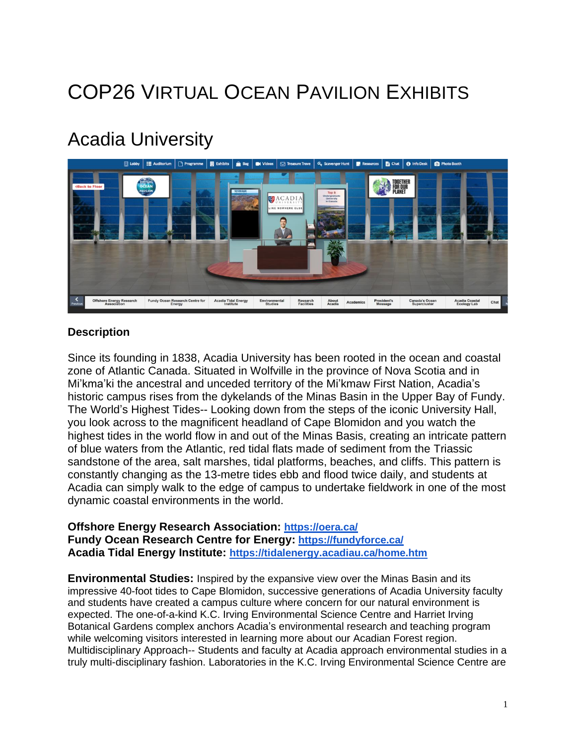# COP26 VIRTUAL OCEAN PAVILION EXHIBITS

# Acadia University



### **Description**

Since its founding in 1838, Acadia University has been rooted in the ocean and coastal zone of Atlantic Canada. Situated in Wolfville in the province of Nova Scotia and in Mi'kma'ki the ancestral and unceded territory of the Mi'kmaw First Nation, Acadia's historic campus rises from the dykelands of the Minas Basin in the Upper Bay of Fundy. The World's Highest Tides-- Looking down from the steps of the iconic University Hall, you look across to the magnificent headland of Cape Blomidon and you watch the highest tides in the world flow in and out of the Minas Basis, creating an intricate pattern of blue waters from the Atlantic, red tidal flats made of sediment from the Triassic sandstone of the area, salt marshes, tidal platforms, beaches, and cliffs. This pattern is constantly changing as the 13-metre tides ebb and flood twice daily, and students at Acadia can simply walk to the edge of campus to undertake fieldwork in one of the most dynamic coastal environments in the world.

#### **Offshore Energy Research Association: <https://oera.ca/> Fundy Ocean Research Centre for Energy: <https://fundyforce.ca/> Acadia Tidal Energy Institute: <https://tidalenergy.acadiau.ca/home.htm>**

**Environmental Studies:** Inspired by the expansive view over the Minas Basin and its impressive 40-foot tides to Cape Blomidon, successive generations of Acadia University faculty and students have created a campus culture where concern for our natural environment is expected. The one-of-a-kind K.C. Irving Environmental Science Centre and Harriet Irving Botanical Gardens complex anchors Acadia's environmental research and teaching program while welcoming visitors interested in learning more about our Acadian Forest region. Multidisciplinary Approach-- Students and faculty at Acadia approach environmental studies in a truly multi-disciplinary fashion. Laboratories in the K.C. Irving Environmental Science Centre are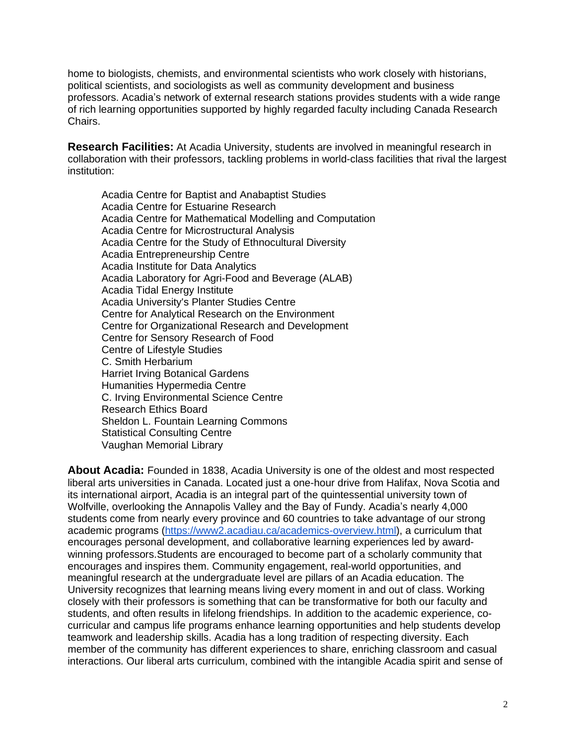home to biologists, chemists, and environmental scientists who work closely with historians, political scientists, and sociologists as well as community development and business professors. Acadia's network of external research stations provides students with a wide range of rich learning opportunities supported by highly regarded faculty including Canada Research Chairs.

**Research Facilities:** At Acadia University, students are involved in meaningful research in collaboration with their professors, tackling problems in world-class facilities that rival the largest institution:

Acadia Centre for Baptist and Anabaptist Studies Acadia Centre for Estuarine Research Acadia Centre for Mathematical Modelling and Computation Acadia Centre for Microstructural Analysis Acadia Centre for the Study of Ethnocultural Diversity Acadia Entrepreneurship Centre Acadia Institute for Data Analytics Acadia Laboratory for Agri-Food and Beverage (ALAB) Acadia Tidal Energy Institute Acadia University's Planter Studies Centre Centre for Analytical Research on the Environment Centre for Organizational Research and Development Centre for Sensory Research of Food Centre of Lifestyle Studies C. Smith Herbarium Harriet Irving Botanical Gardens Humanities Hypermedia Centre C. Irving Environmental Science Centre Research Ethics Board Sheldon L. Fountain Learning Commons Statistical Consulting Centre Vaughan Memorial Library

**About Acadia:** Founded in 1838, Acadia University is one of the oldest and most respected liberal arts universities in Canada. Located just a one-hour drive from Halifax, Nova Scotia and its international airport, Acadia is an integral part of the quintessential university town of Wolfville, overlooking the Annapolis Valley and the Bay of Fundy. Acadia's nearly 4,000 students come from nearly every province and 60 countries to take advantage of our strong academic programs [\(https://www2.acadiau.ca/academics-overview.html\)](https://www2.acadiau.ca/academics-overview.html), a curriculum that encourages personal development, and collaborative learning experiences led by awardwinning professors.Students are encouraged to become part of a scholarly community that encourages and inspires them. Community engagement, real-world opportunities, and meaningful research at the undergraduate level are pillars of an Acadia education. The University recognizes that learning means living every moment in and out of class. Working closely with their professors is something that can be transformative for both our faculty and students, and often results in lifelong friendships. In addition to the academic experience, cocurricular and campus life programs enhance learning opportunities and help students develop teamwork and leadership skills. Acadia has a long tradition of respecting diversity. Each member of the community has different experiences to share, enriching classroom and casual interactions. Our liberal arts curriculum, combined with the intangible Acadia spirit and sense of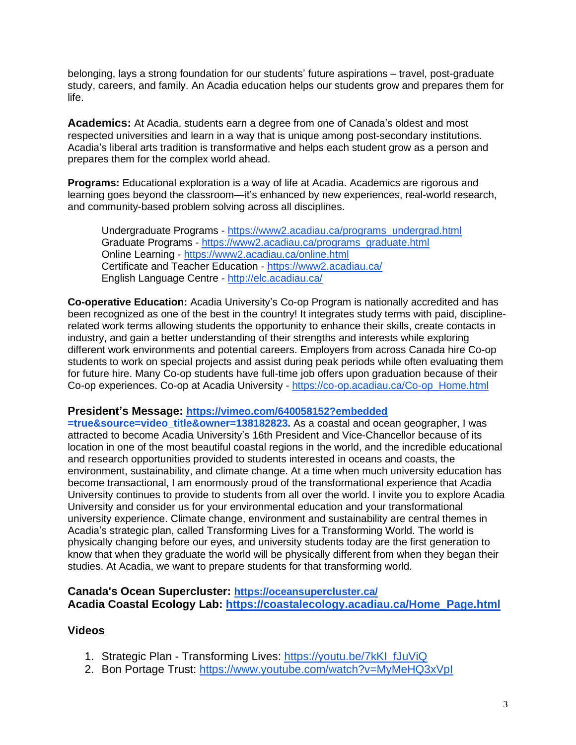belonging, lays a strong foundation for our students' future aspirations – travel, post-graduate study, careers, and family. An Acadia education helps our students grow and prepares them for life.

**Academics:** At Acadia, students earn a degree from one of Canada's oldest and most respected universities and learn in a way that is unique among post-secondary institutions. Acadia's liberal arts tradition is transformative and helps each student grow as a person and prepares them for the complex world ahead.

**Programs:** Educational exploration is a way of life at Acadia. Academics are rigorous and learning goes beyond the classroom—it's enhanced by new experiences, real-world research, and community-based problem solving across all disciplines.

Undergraduate Programs - [https://www2.acadiau.ca/programs\\_undergrad.html](https://www2.acadiau.ca/programs_undergrad.html) Graduate Programs - [https://www2.acadiau.ca/programs\\_graduate.html](https://www2.acadiau.ca/programs_graduate.html) Online Learning - <https://www2.acadiau.ca/online.html> Certificate and Teacher Education - <https://www2.acadiau.ca/> English Language Centre - <http://elc.acadiau.ca/>

**Co-operative Education:** Acadia University's Co-op Program is nationally accredited and has been recognized as one of the best in the country! It integrates study terms with paid, disciplinerelated work terms allowing students the opportunity to enhance their skills, create contacts in industry, and gain a better understanding of their strengths and interests while exploring different work environments and potential careers. Employers from across Canada hire Co-op students to work on special projects and assist during peak periods while often evaluating them for future hire. Many Co-op students have full-time job offers upon graduation because of their Co-op experiences. Co-op at Acadia University - [https://co-op.acadiau.ca/Co-op\\_Home.html](https://co-op.acadiau.ca/Co-op_Home.html)

#### **President's Message: [https://vimeo.com/640058152?embedded](https://vimeo.com/640058152?embedded=true&source=video_title&owner=138182823)**

**=true&source=video\_title&owner=138182823.** As a coastal and ocean geographer, I was attracted to become Acadia University's 16th President and Vice-Chancellor because of its location in one of the most beautiful coastal regions in the world, and the incredible educational and research opportunities provided to students interested in oceans and coasts, the environment, sustainability, and climate change. At a time when much university education has become transactional, I am enormously proud of the transformational experience that Acadia University continues to provide to students from all over the world. I invite you to explore Acadia University and consider us for your environmental education and your transformational university experience. Climate change, environment and sustainability are central themes in Acadia's strategic plan, called Transforming Lives for a Transforming World. The world is physically changing before our eyes, and university students today are the first generation to know that when they graduate the world will be physically different from when they began their studies. At Acadia, we want to prepare students for that transforming world.

#### **Canada's Ocean Supercluster: <https://oceansupercluster.ca/> Acadia Coastal Ecology Lab: [https://coastalecology.acadiau.ca/Home\\_Page.html](https://coastalecology.acadiau.ca/Home_Page.html)**

#### **Videos**

- 1. Strategic Plan Transforming Lives: [https://youtu.be/7kKI\\_fJuViQ](https://youtu.be/7kKI_fJuViQ)
- 2. Bon Portage Trust: <https://www.youtube.com/watch?v=MyMeHQ3xVpI>